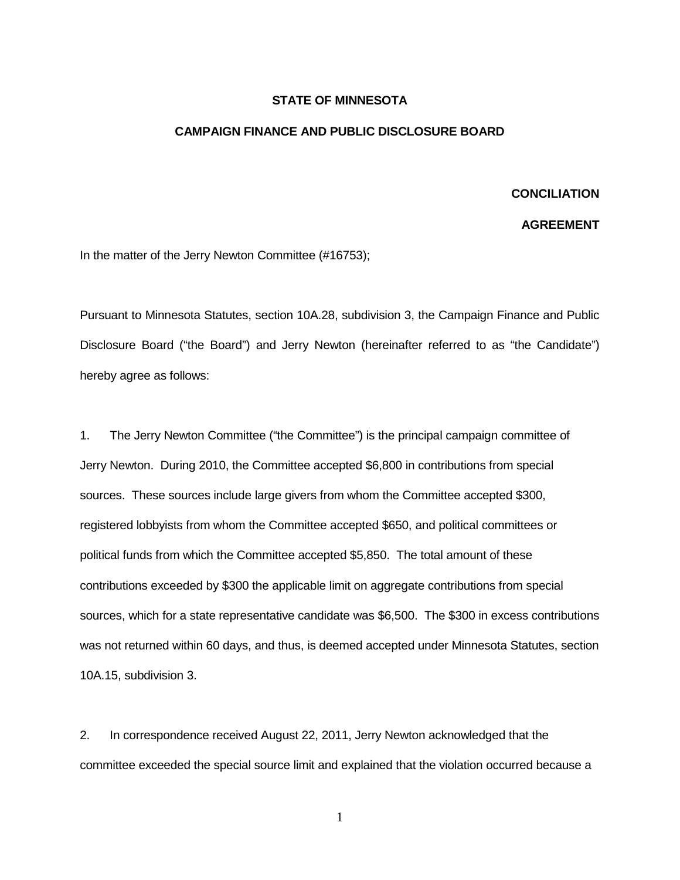## **STATE OF MINNESOTA**

## **CAMPAIGN FINANCE AND PUBLIC DISCLOSURE BOARD**

## **CONCILIATION**

## **AGREEMENT**

In the matter of the Jerry Newton Committee (#16753);

Pursuant to Minnesota Statutes, section 10A.28, subdivision 3, the Campaign Finance and Public Disclosure Board ("the Board") and Jerry Newton (hereinafter referred to as "the Candidate") hereby agree as follows:

1. The Jerry Newton Committee ("the Committee") is the principal campaign committee of Jerry Newton. During 2010, the Committee accepted \$6,800 in contributions from special sources. These sources include large givers from whom the Committee accepted \$300, registered lobbyists from whom the Committee accepted \$650, and political committees or political funds from which the Committee accepted \$5,850. The total amount of these contributions exceeded by \$300 the applicable limit on aggregate contributions from special sources, which for a state representative candidate was \$6,500. The \$300 in excess contributions was not returned within 60 days, and thus, is deemed accepted under Minnesota Statutes, section 10A.15, subdivision 3.

2. In correspondence received August 22, 2011, Jerry Newton acknowledged that the committee exceeded the special source limit and explained that the violation occurred because a

1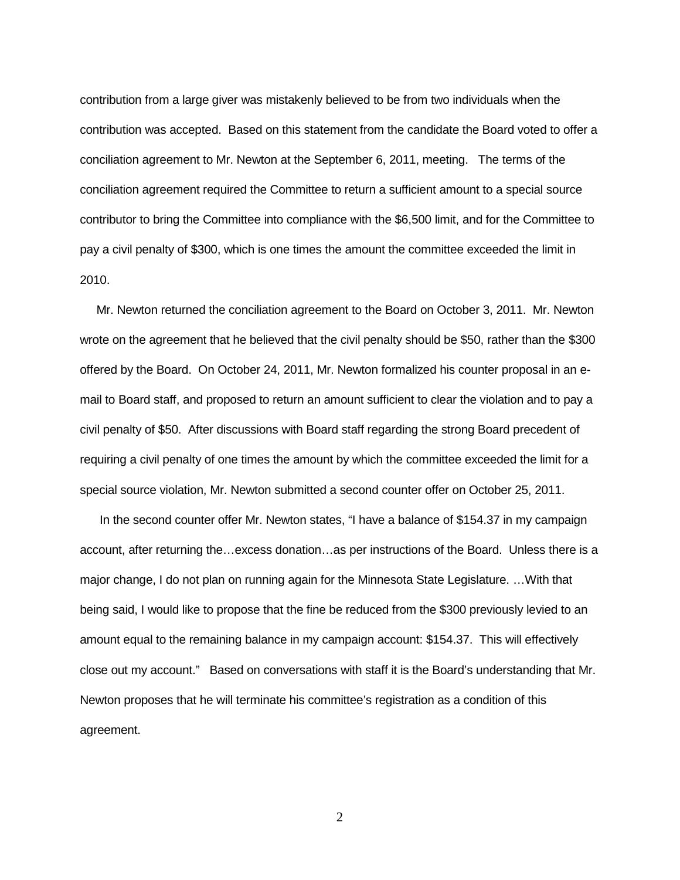contribution from a large giver was mistakenly believed to be from two individuals when the contribution was accepted. Based on this statement from the candidate the Board voted to offer a conciliation agreement to Mr. Newton at the September 6, 2011, meeting. The terms of the conciliation agreement required the Committee to return a sufficient amount to a special source contributor to bring the Committee into compliance with the \$6,500 limit, and for the Committee to pay a civil penalty of \$300, which is one times the amount the committee exceeded the limit in 2010.

 Mr. Newton returned the conciliation agreement to the Board on October 3, 2011. Mr. Newton wrote on the agreement that he believed that the civil penalty should be \$50, rather than the \$300 offered by the Board. On October 24, 2011, Mr. Newton formalized his counter proposal in an email to Board staff, and proposed to return an amount sufficient to clear the violation and to pay a civil penalty of \$50. After discussions with Board staff regarding the strong Board precedent of requiring a civil penalty of one times the amount by which the committee exceeded the limit for a special source violation, Mr. Newton submitted a second counter offer on October 25, 2011.

 In the second counter offer Mr. Newton states, "I have a balance of \$154.37 in my campaign account, after returning the…excess donation…as per instructions of the Board. Unless there is a major change, I do not plan on running again for the Minnesota State Legislature. …With that being said, I would like to propose that the fine be reduced from the \$300 previously levied to an amount equal to the remaining balance in my campaign account: \$154.37. This will effectively close out my account." Based on conversations with staff it is the Board's understanding that Mr. Newton proposes that he will terminate his committee's registration as a condition of this agreement.

2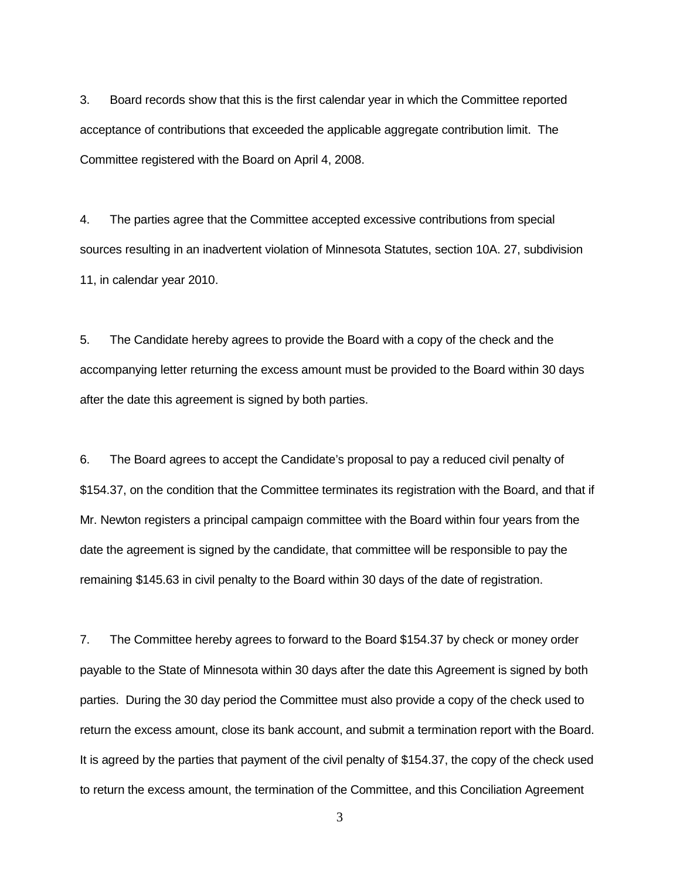3. Board records show that this is the first calendar year in which the Committee reported acceptance of contributions that exceeded the applicable aggregate contribution limit. The Committee registered with the Board on April 4, 2008.

4. The parties agree that the Committee accepted excessive contributions from special sources resulting in an inadvertent violation of Minnesota Statutes, section 10A. 27, subdivision 11, in calendar year 2010.

5. The Candidate hereby agrees to provide the Board with a copy of the check and the accompanying letter returning the excess amount must be provided to the Board within 30 days after the date this agreement is signed by both parties.

6. The Board agrees to accept the Candidate's proposal to pay a reduced civil penalty of \$154.37, on the condition that the Committee terminates its registration with the Board, and that if Mr. Newton registers a principal campaign committee with the Board within four years from the date the agreement is signed by the candidate, that committee will be responsible to pay the remaining \$145.63 in civil penalty to the Board within 30 days of the date of registration.

7. The Committee hereby agrees to forward to the Board \$154.37 by check or money order payable to the State of Minnesota within 30 days after the date this Agreement is signed by both parties. During the 30 day period the Committee must also provide a copy of the check used to return the excess amount, close its bank account, and submit a termination report with the Board. It is agreed by the parties that payment of the civil penalty of \$154.37, the copy of the check used to return the excess amount, the termination of the Committee, and this Conciliation Agreement

3